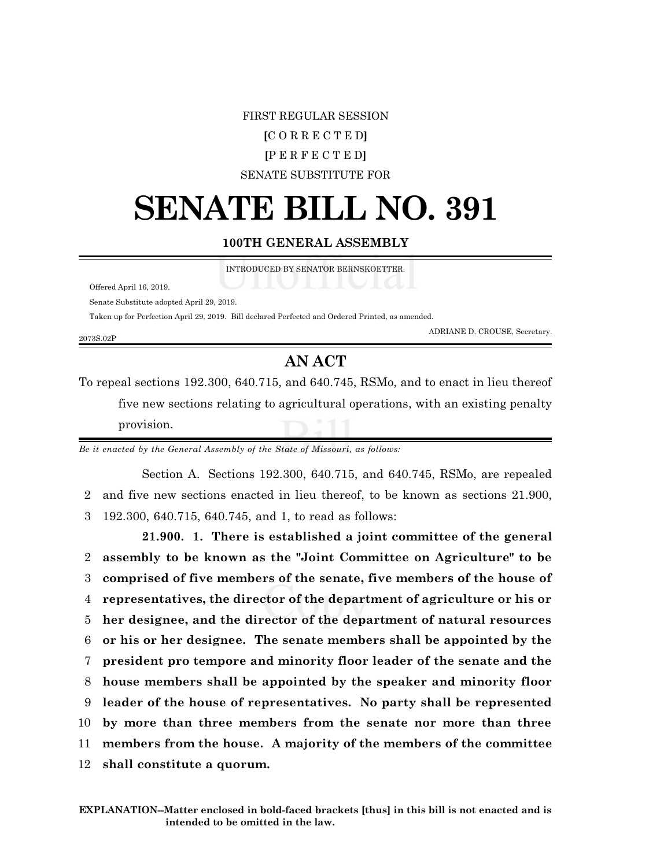## FIRST REGULAR SESSION **[**C O R R E C T E D**] [**P E R F E C T E D**]** SENATE SUBSTITUTE FOR

## **SENATE BILL NO. 391**

## **100TH GENERAL ASSEMBLY**

INTRODUCED BY SENATOR BERNSKOETTER.

Offered April 16, 2019.

Senate Substitute adopted April 29, 2019.

Taken up for Perfection April 29, 2019. Bill declared Perfected and Ordered Printed, as amended.

2073S.02P

ADRIANE D. CROUSE, Secretary.

## **AN ACT**

To repeal sections 192.300, 640.715, and 640.745, RSMo, and to enact in lieu thereof five new sections relating to agricultural operations, with an existing penalty provision.

*Be it enacted by the General Assembly of the State of Missouri, as follows:*

Section A. Sections 192.300, 640.715, and 640.745, RSMo, are repealed 2 and five new sections enacted in lieu thereof, to be known as sections 21.900, 3 192.300, 640.715, 640.745, and 1, to read as follows:

**21.900. 1. There is established a joint committee of the general assembly to be known as the "Joint Committee on Agriculture" to be comprised of five members of the senate, five members of the house of representatives, the director of the department of agriculture or his or her designee, and the director of the department of natural resources or his or her designee. The senate members shall be appointed by the president pro tempore and minority floor leader of the senate and the house members shall be appointed by the speaker and minority floor leader of the house of representatives. No party shall be represented by more than three members from the senate nor more than three members from the house. A majority of the members of the committee shall constitute a quorum.**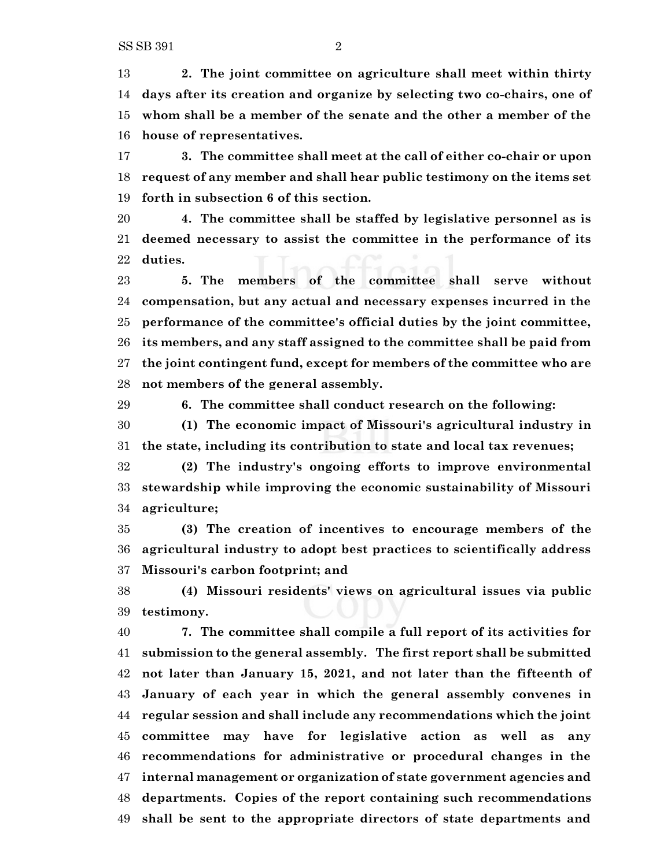**2. The joint committee on agriculture shall meet within thirty days after its creation and organize by selecting two co-chairs, one of whom shall be a member of the senate and the other a member of the house of representatives.**

 **3. The committee shall meet at the call of either co-chair or upon request of any member and shall hear public testimony on the items set forth in subsection 6 of this section.**

 **4. The committee shall be staffed by legislative personnel as is deemed necessary to assist the committee in the performance of its duties.**

 **5. The members of the committee shall serve without compensation, but any actual and necessary expenses incurred in the performance of the committee's official duties by the joint committee, its members, and any staff assigned to the committee shall be paid from the joint contingent fund, except for members of the committee who are not members of the general assembly.**

**6. The committee shall conduct research on the following:**

 **(1) The economic impact of Missouri's agricultural industry in the state, including its contribution to state and local tax revenues;**

 **(2) The industry's ongoing efforts to improve environmental stewardship while improving the economic sustainability of Missouri agriculture;**

 **(3) The creation of incentives to encourage members of the agricultural industry to adopt best practices to scientifically address Missouri's carbon footprint; and**

 **(4) Missouri residents' views on agricultural issues via public testimony.**

 **7. The committee shall compile a full report of its activities for submission to the general assembly. The first report shall be submitted not later than January 15, 2021, and not later than the fifteenth of January of each year in which the general assembly convenes in regular session and shall include any recommendations which the joint committee may have for legislative action as well as any recommendations for administrative or procedural changes in the internal management or organization of state government agencies and departments. Copies of the report containing such recommendations shall be sent to the appropriate directors of state departments and**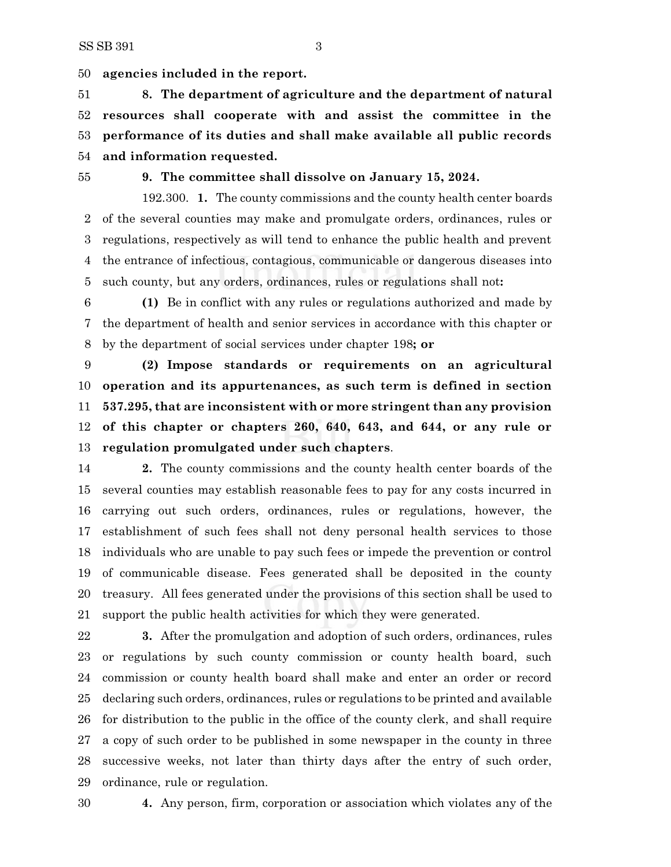**agencies included in the report.**

 **8. The department of agriculture and the department of natural resources shall cooperate with and assist the committee in the performance of its duties and shall make available all public records and information requested.**

**9. The committee shall dissolve on January 15, 2024.**

192.300. **1.** The county commissions and the county health center boards of the several counties may make and promulgate orders, ordinances, rules or regulations, respectively as will tend to enhance the public health and prevent the entrance of infectious, contagious, communicable or dangerous diseases into such county, but any orders, ordinances, rules or regulations shall not**:**

 **(1)** Be in conflict with any rules or regulations authorized and made by the department of health and senior services in accordance with this chapter or by the department of social services under chapter 198**; or**

 **(2) Impose standards or requirements on an agricultural operation and its appurtenances, as such term is defined in section 537.295, that are inconsistent with or more stringent than any provision of this chapter or chapters 260, 640, 643, and 644, or any rule or regulation promulgated under such chapters**.

 **2.** The county commissions and the county health center boards of the several counties may establish reasonable fees to pay for any costs incurred in carrying out such orders, ordinances, rules or regulations, however, the establishment of such fees shall not deny personal health services to those individuals who are unable to pay such fees or impede the prevention or control of communicable disease. Fees generated shall be deposited in the county treasury. All fees generated under the provisions of this section shall be used to support the public health activities for which they were generated.

 **3.** After the promulgation and adoption of such orders, ordinances, rules or regulations by such county commission or county health board, such commission or county health board shall make and enter an order or record declaring such orders, ordinances, rules or regulations to be printed and available for distribution to the public in the office of the county clerk, and shall require a copy of such order to be published in some newspaper in the county in three successive weeks, not later than thirty days after the entry of such order, ordinance, rule or regulation.

**4.** Any person, firm, corporation or association which violates any of the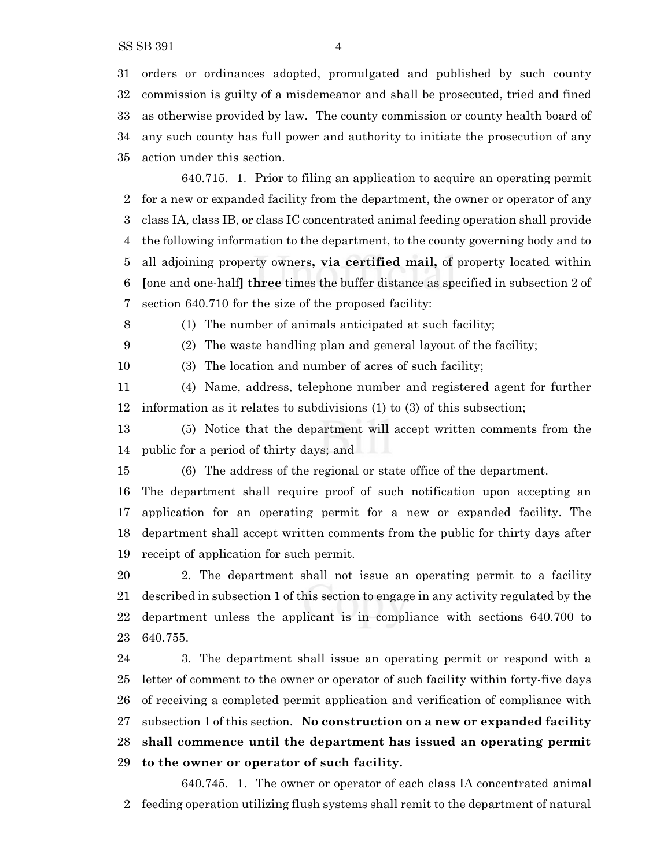SS SB 391 4

 orders or ordinances adopted, promulgated and published by such county commission is guilty of a misdemeanor and shall be prosecuted, tried and fined as otherwise provided by law. The county commission or county health board of any such county has full power and authority to initiate the prosecution of any action under this section.

640.715. 1. Prior to filing an application to acquire an operating permit for a new or expanded facility from the department, the owner or operator of any class IA, class IB, or class IC concentrated animal feeding operation shall provide the following information to the department, to the county governing body and to all adjoining property owners**, via certified mail,** of property located within **[**one and one-half**] three** times the buffer distance as specified in subsection 2 of section 640.710 for the size of the proposed facility:

(1) The number of animals anticipated at such facility;

(2) The waste handling plan and general layout of the facility;

(3) The location and number of acres of such facility;

 (4) Name, address, telephone number and registered agent for further information as it relates to subdivisions (1) to (3) of this subsection;

 (5) Notice that the department will accept written comments from the public for a period of thirty days; and

(6) The address of the regional or state office of the department.

 The department shall require proof of such notification upon accepting an application for an operating permit for a new or expanded facility. The department shall accept written comments from the public for thirty days after receipt of application for such permit.

 2. The department shall not issue an operating permit to a facility described in subsection 1 of this section to engage in any activity regulated by the department unless the applicant is in compliance with sections 640.700 to 640.755.

 3. The department shall issue an operating permit or respond with a letter of comment to the owner or operator of such facility within forty-five days of receiving a completed permit application and verification of compliance with subsection 1 of this section. **No construction on a new or expanded facility shall commence until the department has issued an operating permit to the owner or operator of such facility.**

640.745. 1. The owner or operator of each class IA concentrated animal feeding operation utilizing flush systems shall remit to the department of natural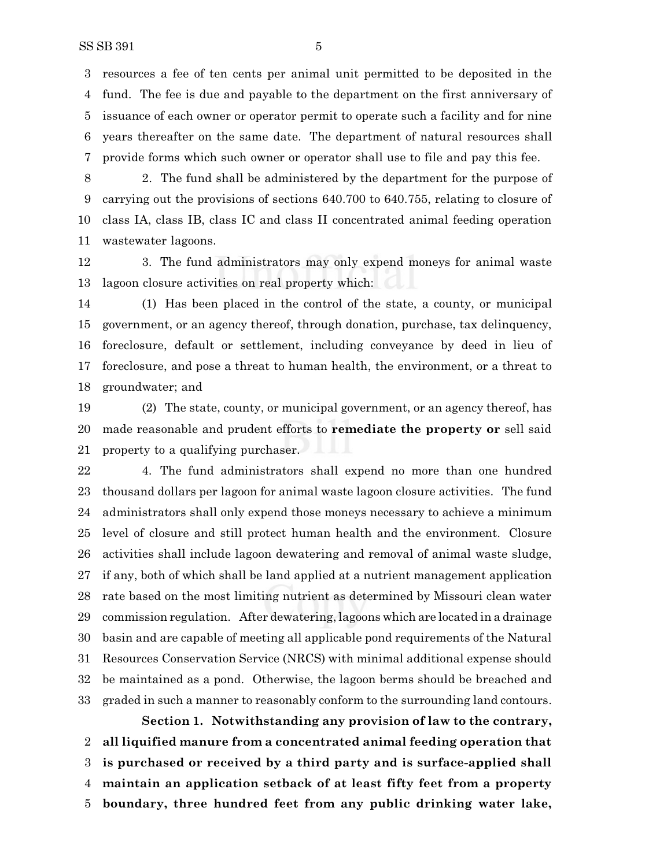resources a fee of ten cents per animal unit permitted to be deposited in the fund. The fee is due and payable to the department on the first anniversary of issuance of each owner or operator permit to operate such a facility and for nine years thereafter on the same date. The department of natural resources shall provide forms which such owner or operator shall use to file and pay this fee.

 2. The fund shall be administered by the department for the purpose of carrying out the provisions of sections 640.700 to 640.755, relating to closure of class IA, class IB, class IC and class II concentrated animal feeding operation wastewater lagoons.

 3. The fund administrators may only expend moneys for animal waste lagoon closure activities on real property which:

 (1) Has been placed in the control of the state, a county, or municipal government, or an agency thereof, through donation, purchase, tax delinquency, foreclosure, default or settlement, including conveyance by deed in lieu of foreclosure, and pose a threat to human health, the environment, or a threat to groundwater; and

 (2) The state, county, or municipal government, or an agency thereof, has made reasonable and prudent efforts to **remediate the property or** sell said property to a qualifying purchaser.

 4. The fund administrators shall expend no more than one hundred thousand dollars per lagoon for animal waste lagoon closure activities. The fund administrators shall only expend those moneys necessary to achieve a minimum level of closure and still protect human health and the environment. Closure activities shall include lagoon dewatering and removal of animal waste sludge, if any, both of which shall be land applied at a nutrient management application rate based on the most limiting nutrient as determined by Missouri clean water commission regulation. After dewatering, lagoons which are located in a drainage basin and are capable of meeting all applicable pond requirements of the Natural Resources Conservation Service (NRCS) with minimal additional expense should be maintained as a pond. Otherwise, the lagoon berms should be breached and graded in such a manner to reasonably conform to the surrounding land contours.

**Section 1. Notwithstanding any provision of law to the contrary, all liquified manure from a concentrated animal feeding operation that is purchased or received by a third party and is surface-applied shall maintain an application setback of at least fifty feet from a property boundary, three hundred feet from any public drinking water lake,**